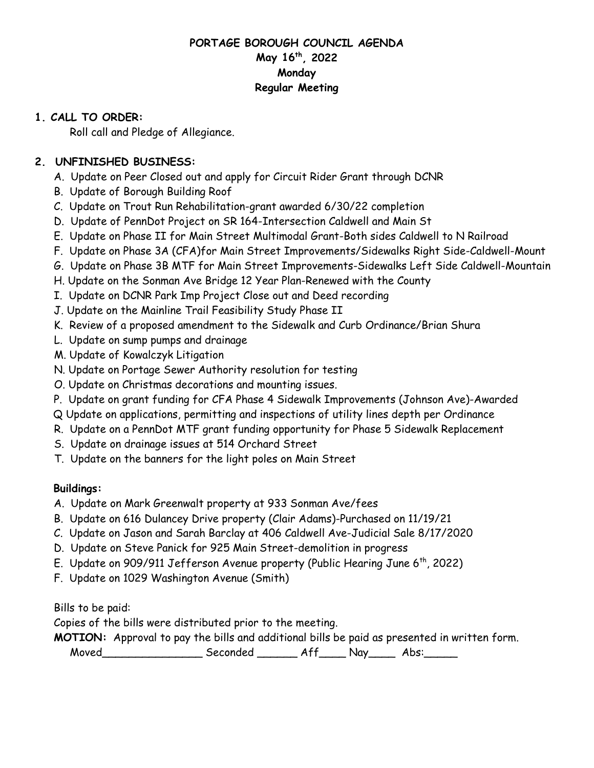## **PORTAGE BOROUGH COUNCIL AGENDA May 16th, 2022 Monday Regular Meeting**

## **1. CALL TO ORDER:**

Roll call and Pledge of Allegiance.

# **2. UNFINISHED BUSINESS:**

- A. Update on Peer Closed out and apply for Circuit Rider Grant through DCNR
- B. Update of Borough Building Roof
- C. Update on Trout Run Rehabilitation-grant awarded 6/30/22 completion
- D. Update of PennDot Project on SR 164-Intersection Caldwell and Main St
- E. Update on Phase II for Main Street Multimodal Grant-Both sides Caldwell to N Railroad
- F. Update on Phase 3A (CFA)for Main Street Improvements/Sidewalks Right Side-Caldwell-Mount
- G. Update on Phase 3B MTF for Main Street Improvements-Sidewalks Left Side Caldwell-Mountain
- H. Update on the Sonman Ave Bridge 12 Year Plan-Renewed with the County
- I. Update on DCNR Park Imp Project Close out and Deed recording
- J. Update on the Mainline Trail Feasibility Study Phase II
- K. Review of a proposed amendment to the Sidewalk and Curb Ordinance/Brian Shura
- L. Update on sump pumps and drainage
- M. Update of Kowalczyk Litigation
- N. Update on Portage Sewer Authority resolution for testing
- O. Update on Christmas decorations and mounting issues.
- P. Update on grant funding for CFA Phase 4 Sidewalk Improvements (Johnson Ave)-Awarded
- Q Update on applications, permitting and inspections of utility lines depth per Ordinance
- R. Update on a PennDot MTF grant funding opportunity for Phase 5 Sidewalk Replacement
- S. Update on drainage issues at 514 Orchard Street
- T. Update on the banners for the light poles on Main Street

# **Buildings:**

- A. Update on Mark Greenwalt property at 933 Sonman Ave/fees
- B. Update on 616 Dulancey Drive property (Clair Adams)-Purchased on 11/19/21
- C. Update on Jason and Sarah Barclay at 406 Caldwell Ave-Judicial Sale 8/17/2020
- D. Update on Steve Panick for 925 Main Street-demolition in progress
- E. Update on 909/911 Jefferson Avenue property (Public Hearing June 6th, 2022)
- F. Update on 1029 Washington Avenue (Smith)

Bills to be paid:

Copies of the bills were distributed prior to the meeting.

**MOTION:** Approval to pay the bills and additional bills be paid as presented in written form.

Moved\_\_\_\_\_\_\_\_\_\_\_\_\_\_\_ Seconded \_\_\_\_\_\_ Aff\_\_\_\_ Nay\_\_\_\_ Abs:\_\_\_\_\_